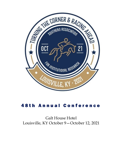

# **48th Annual Conference**

# Galt House Hotel Louisville, KY October 9—October 12, 2021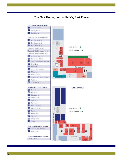### **The Galt House, Louisville KY, East Tower**

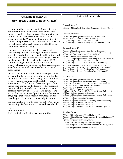### **Welcome to SAIR 48:**  *Turning the Corner & Racing Ahead*

Deciding on the theme for SAIR 48 was both easy and difficult. Louisville, home of the famed Kentucky Derby, the national mecca of horse racing, lent itself nicely to a theme centered around racing, speed, and agility. What made theme selection difficult was the professional and personal difficulties we have all faced in the past year as the COVID-19 pandemic changed everything.

I am sure very few of us have felt speedy, agile, or "top of our game" as our colleges and universities struggled to adapt to remote work and learning, and a dizzying array of policy shifts and changes. When the theme was decided back in the spring of 2021, I was not feeling extremely optimistic about our chances of having an in-person conference, much less a conference centered around such a positive and brash theme.

But, like any good race, the past year has pushed us all to our limits; forced us to saddle up, take hold of the bridle, and maneuver the many twists and turns. It has tested our stamina, and hopefully, we're all stronger for it. The "turning the corner" part of the theme pays homage to the lessons we have learned that are helping us, each day, to turn the corner and discover new ways to research, learn, educate, and work. The "racing ahead" portion of the theme displays hope that our new found knowledge will indeed help us all race ahead into a brighter future.

We may not have won the race yet, but we're still in the running! Let's turn the corner, and race ahead!

#### Sincerely,

Emily Campbell 2021 SAIR VP and Conference Program Chair

### **SAIR 48 Schedule**

#### **Friday, October 8**

1:00pm— 3:00pm SAIR Board Pre-Conference Meeting (Brown)

#### **Saturday, October 9**

7:30am - 6:00pm Registration (East Tower, 2nd Floor) 8:30am - 11:30am Pre-Conference Workshops 1:00pm - 4:00pm Pre-Conference Workshops 6:00pm - 7:00pm President's Reception (Grand Ballroom B)

#### **Sunday, October 10**

7:30am - 6:00pm Registration (East Tower, 2nd Floor) 9:30am - 1:30pm Southern University Group (SUG) (French) 8:30am - 11:30am Pre-Conference Workshops 8:30am - 4:00pm Newcomer's Workshop 12:00pm - 2:45pm Sponsor/Exhibitor Setup (Grand Ballroom B) 1:00pm - 4:00pm Pre-Conference Workshops 3:00pm - 8:30pm Exhibit Hall Open (Grand Ballroom B) 4:00pm– 4:30pm– Facilitator Packet Pick Up (Breathitt) 4:30pm - 5:30pm Newcomer's Reception (Grand Ballroom B)

5:45pm - 7:30pm Opening Session (Grand Ballroom A) 7:30pm - 8:30pm Opening Reception (Grand Ballroom B)

#### **Monday, October 11**

#### **Tuesday, October 12**

7:30am - 8:00am Breakfast (Grand Ballroom A) 8:00am - 9:15am Closing Plenary & Awards (Grand Ballroom A) 9:30am - 10:15am Concurrent Sessions 10:30am - 11:15am Concurrent Sessions 11:30am - 12:00pm State Special Interest Groups 1:00pm - 3:00pm SAIR Board Post-Conference Meeting (Brown) 1:00pm– 4:00pm Post-conference workshops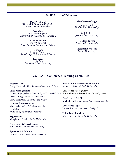### **SAIR Board of Directors**

**Past President** Richard R. Burnette III (Rick) *Florida State University*

**President** Suzanne Simpson *University of Alabama in Huntsville*

**Vice President** Emily Campbell *River Parishes Community College* 

**Secretary** Jennifer Moore *Mississippi University for Women* 

> **Treasurer** Kristy Neal *Louisiana State University*

#### **Members-at-Large**

James Hunt *Florida State University*

Will Miller *Jacksonville University* 

G. Marc Turner *Texas State University* 

Meaghann Wheelis *Baylor University* 

#### **2021 SAIR Conference Planning Committee**

**Program Chair** Emily Campbell, *River Parishes Community College* 

**Local Arrangements** Brittany Inge, *Jefferson Community & Technical College* Eric Atchison, *Arkansas State University System* Krista Young*, University of Louisville* Drew Thiemann*, Bellarmine University*

**Proposal Submission Site**  Matt Earhart, *Florida State University*

**Workshops** Will Miller, *Jacksonville University*

**Registration** Meaghann Wheelis, *Baylor University*

**Newcomers & Travel Grants** James Hunt, *Florida State University*

**Sponsors & Exhibitors** G. Marc Turner, *Texas State University* 

**Session and Conference Evaluations** James Hunt, *Florida State University*

**Conference Photography**

**Conference Web Site** Michelle Hall, *Southeastern Louisiana University*

**Conference Logo** Lauren Buntin, *Southbound Design Co.*

**Table Topic Luncheon** *Meaghann Wheelis, Baylor University*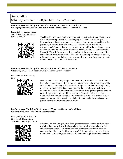### **Registration** Saturday,  $7:30$  am  $-6:00$  pm, East Tower, 2nd Floor

**Pre-Conference Workshop A.1, Saturday, 8:30 a.m. - 11:30 a.m. in Carroll Ford Leveraging Power BI to Visualize Institutional Effectiveness Assessment Processes**

Presented by: Caitlyn Jessee and Galiya Tabulda, *Florida* 



*State University* Tracking the timeliness, quality and completeness of Institutional Effectiveness (IE) assessment reports can be a challenging task. However, making all this information available in an easy-to-use, robust, straightforward dashboard is a great way to communicate the status of the IE assessment activities to university stakeholders. During the workshop, we will walk participants, stepby-step, through building these interactive dashboard-style visualizations in Power BI. We will focus on creating visuals that show assessment completion status for various campus units, setting and tracking reporting expectations by different locations/modalities, and incorporating organizational tree elements into the dashboards. Join us to learn more!

#### **Pre-Conference Workshop A.2, Saturday, 8:30 a.m. - 11:30 a.m. in Nunn Integrating Data from Across Campus to Predict Student Success**

Presented by: Will Miller, *Jacks* 



More so than ever before, campus understanding of student success are rooted in available data. Stakeholders across all areas seem to believe that data will be able to suggest how they will be best able to right retention rates, completions, or even enrollments. In this workshop, we will discuss how to institute a meaningful culture of student success on campus through change management, education, conversations, and infrastructure. From discussing the steps necessary for successful change to understandings of a data-informed student success paradigm, the presenter will help attendees walk through becoming proactive leaders in campus success efforts.

#### **Pre-Conference Workshop B.1, Saturday, 1:00 p.m. - 4:00 p.m. in Carroll Ford Building a Modern Data Governance Structure**

Presented by: Rick Burnette, *Florida State University* & Thulasi Kumar, *Virginia Tech*



Defining and deploying effective data governance is one of the products of our evolving data-defined world. Many schools have policies, but what are the effective organizational structures and policies that are needed to open up access while reducing risk of improper use? This interactive session will help you review your existing structures or allow you to begin planning your first.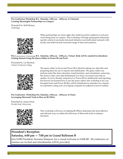#### **Pre-Conference Workshop B.2, Saturday, 1:00 p.m. - 4:00 p.m. in Clements Creating Meaningful Partnerships on Campus**

Presented by: Kelli Rainey, *Anthology*



When partnerships are done right, they build powerful coalitions to advance work being done on campus. This workshop will help participants determine specific actions to promote structural initiatives and individual outreach with faculty and staff towards increased usage of data and analytics.

#### **Pre-Conference Workshop B.3, Saturday, 1:00 p.m. - 4:00 p.m., Virtual (link will be emailed to attendees) Getting Started Using the Query Editor in Power BI and Excel**

Presented by: Liz Rennick, *Trident Technical College* 



The query editor in Excel and Power BI is ideal for taking raw data files and preparing them for use in reports and dashboards. The query editor can perform tasks like data extraction, transformation, and calculations, removing the need to clean your data beforehand ever time you need to provide an update. If you're already using Excel or Power BI for dashboards and reporting but haven't yet learned how to use the query editor, this workshop is for you. Example Excel and Power BI files will be distributed to attendees for a handson experience using your own laptop computer (or adjacent screen if online).

**Pre-Conference Workshop B.4, Saturday, 1:00 p.m. - 4:00 p.m. in Nunn Leveraging Microsoft Tools to Run an IR Office** 

Presented by: James Hunt, *Florida State University* 



This workshop will focus on helping IR Offices determine the most effective and efficient ways to utilize the full array of Microsoft tools to enhance functions.

### **President's Reception**

### **Saturday, 6:00 pm — 7:00 pm in Grand Ballroom B**

Join SAIR President, Suzanne Simpson, for a casual welcome to SAIR 48! All conference attendees are invited and refreshments will be provided.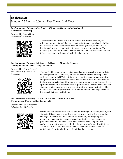### **Registration**

Sunday, 7:30 am — 6:00 pm, East Tower, 2nd Floor

**Pre-Conference Workshop, C.1, Sunday, 8:30 a.m. - 4:00 p.m. in Combs Chandler Newcomer's Workshop**

Presented by: James Hunt, *Florida State University*



The workshop will provide an introduction to institutional research, its principal components, and the practices of institutional researchers including the sourcing of data, communication and reporting of data, and the role of institutional research in supporting the assessment and accreditation. The workshop will also address how institutional research offices function and how to be an effective practitioner of institutional research.

#### **Pre-Conference Workshop C.2, Sunday, 8:30 a.m. - 11:30 a.m. in Clements Getting the Inside Track: Faculty Credentials**

Presented by: Ginny Cockerill, *The University of Alabama in Huntsville* 



The SACS COC standard on faculty credentials appears each year on the list of most frequently cited standards, with 6% of institutions in non-compliance with this standard in 2019. Institutions can avoid this issue by having policies and procedures in place to outline their expectations for faculty qualifications, to document the actual qualifications held, and to validate compliance with the appropriate standards. In this workshop, participants will examine the relevant standards and explore policies and procedures from several institutions. They will then review multiple software solutions and identify next steps to take in this area at their own institutions.

#### **Pre-Conference Workshop C.3, Sunday, 8:30 a.m. - 11:30 a.m. in Nunn Designing and Deploying Dashboards in R**

Presented by: Sri Sitharaman, *Columbus State University*



Dashboards are an important tool for communicating with leaders, faculty, and students. This workshop provides an overview of using the R programming language (in the Rstudio development environment) for designing and deploying interactive dashboards. Several applications of dashboards are presented including interactive costing of projects, visualizing predictive analysis or presenting peer or aspirational comparisons for metrics of interest. All the r code, data and materials will be posted online and available to participants. Some familiarity with R and Rstudio is needed.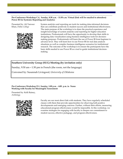#### **Pre-Conference Workshop C.4, Sunday, 8:30 a.m. - 11:30 a.m. Virtual (link will be emailed to attendees) Power BI for Systemic Reporting and Analytics**

Presented by: Ali Tanveer Khan, *Dallas College* 



System analytics and reporting are tools for making data-informed decisions that can contribute positively to student success and institutional effectiveness. The main purpose of the workshop is to share the practical experience and insight knowledge of system analytics and reporting for higher education institutions. Professionals will have the opportunity to develop their skills in designing data visualization using business intelligence tools for decisionmaking purposes. Professionals will learn the use of Power BI from beginner to advance level. They will learn how to use Power BI for real data analysis situations as well as complex business intelligence scenarios for institutional research. The outcome of the workshop is to ensure the participants have the basic skills needed to use Power BI as a tool to guide institutional decisionmaking.

### **Southern University Group (SUG) Meeting (by invitation only)**

Sunday, 9:30 am—1:30 pm in French (the room, not the language)

Convened by: Susannah Livingood, *University of Oklahoma* 

**Pre-Conference Workshop D.1, Sunday, 1:00 p.m. - 4:00 p.m. in Nunn Working with Faculty for Meaningful Assessment**

Presented by: Kelli Rainey, *Anthology*



Faculty are our most direct link with students. They have regularly scheduled classes with them that provide opportunities for observing both positive developments and emerging concerns. Further, without their efforts, measuring educational program effectiveness would be impossible. In this workshop, we examine strategies for engaging with faculty to deepen our commitment to student success, effective pedagogy, and program effectiveness.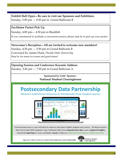### **Exhibit Hall Open—Be sure to visit our Sponsors and Exhibitors.**

Sunday, 3:00 pm — 8:30 pm in Grand Ballroom B

### **Facilitator Packet Pick Up**

Sunday, 4:00 pm— 4:30 pm in Breathitt

If you volunteered to facilitate a concurrent session, please stop by to pick up your packet.

### **Newcomer's Reception—All are invited to welcome new members!**

Sunday, 4:30 pm — 5:30 pm in Grand Ballroom B Convened by: James Hunt, *Florida State University* Stop by for some ice cream and good times!

## **Opening Session and Conference Keynote Address**

Sunday, 5:45 pm — 7:30 pm in Grand Ballroom A

### **Sponsored by Gold Sponsor : National Student Clearinghouse**

# **Postsecondary Data Partnership**

Measure Institutional Outcomes & Intentionally Grow Student Success.



Transformative way for your institution to measure and report student progress and success. The Postsecondary Data Partnership (PDP) empowers your institution with more comprehensive data, easier analysis & insights, centralized reporting functions, and better visuals to help you understand and improve student outcomes.

Sign up or learn more at: studentclearinghouse.org/colleges/pdp

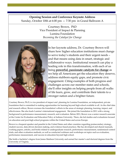### **Opening Session and Conference Keynote Address** Sunday, October 10th at 6:00 pm — 7:30 pm in Grand Ballroom A

Courtney Brown, PhD Vice President of Impact & Planning Lumina Foundation *Becoming the Catalyst for Change*



In her keynote address, Dr. Courtney Brown will share how higher education institutions must change to serve today's students and their urgent needs – and that means using data in smart, strategic and collaborative ways. Institutional research can play a leading role in this transformation, with each of us being **powerful, passionate catalysts for change** as we help all Americans get the education they deserve, address stubborn equity gaps, and promote civic engagement. Citing examples of both progress and challenges across our member states and schools, she'll offer insights on helping people from all walks of life learn, grow, and contribute their talents to a stronger nation and a brighter future.

Courtney Brown, Ph.D, is vice president of impact and planning for Lumina Foundation, an independent, private foundation that is committed to making opportunities for learning beyond high school available to all. As the chief data and research officer, Brown oversees the foundation's efforts in the areas of strategic planning, learning, impact, and effectiveness. She also leads Lumina's international engagement. She joined the foundation in 2011 with a strong background in performance measurement, research, and evaluation. Before 2011, Brown was a senior research associate at the Center for Evaluation and Education Policy at Indiana University. There, she led studies and evaluations focused on education and post-high school programs within the United States and across Europe.

Brown is a frequent speaker and panelist in the United States and other countries regarding postsecondary strategy, student success, data-driven decision making, and evidence-based practices. She has developed and shared manuals, working papers, articles, and books related to undergraduate research, performance measurement, randomized-control trials, and other evaluation methods, as well as conducted webinars and workshops on topics such as evaluation, performance measurement, and success in education beyond high school.

She holds a bachelor's degree from James Madison University and earned her master's and doctoral degrees from the University of Virginia.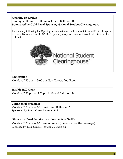### **Opening Reception**  Sunday, 7:30 pm — 8:30 pm in Grand Ballroom B **Sponsored by Gold Level Sponsor, National Student Clearinghouse**

Immediately following the Opening Session in Grand Ballroom A, join your SAIR colleagues in Grand Ballroom B for the SAIR 48 Opening Reception. A selection of local cuisine will be featured.



### **Registration**

Monday, 7:30 am — 5:00 pm, East Tower, 2nd Floor

### **Exhibit Hall Open**

Monday, 7:30 pm — 5:00 pm in Grand Ballroom B

### **Continental Breakfast**

Monday, 7:30 am — 8:15 am Grand Ballroom A **Sponsored by: Bronze Level Sponsor, SAS**

**Dinosaur's Breakfast** (for Past Presidents of SAIR) Monday, 7:30 am — 8:15 am in French (the room, not the language) Convened by: Rick Burnette, *Florida State University*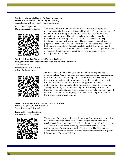#### **Session 1, Monday, 8:30 a.m.—9:15 a.m. in Sampson Workforce Data and Academic Degree Planning**  Track: Planning, Policy, and System Management

Presented by: Iryna Johnson,



*University of Alabama System* This presentation examines existing resources for educational program development and offers a web site (available at https://uasystem.edu/impact/ degree-program-planning-resources) to help faculty and administrators navigate these resources. The web site includes several dashboards. The dashboard for IPEDS completions by CIPC and degree level can help institutions evaluate existing programs. The dashboard with employment projections by SOC codes from the Bureau of Labor Statistics helps identify high-demand occupations. External links help locate lists of high-demand occupations in the state, skills and abilities needed for each occupation, and job posting analytics. Examples of use of the web site for actual program development are provided.

#### **Session 2, Monday, 8:30 a.m. - 9:15 a.m. in Laffoon Using Financial Data to Operate Efficiently and Educate Effectively**  Track: Assessment

Presented by: Kelli Rainey & Allison Laske, Anthology



We are all aware of the challenges associated with making good financial decisions in today's educational environment. Decision making becomes even more difficult if you are working with a small fraction of data or worse, inaccuracies in the information. Anthology's academic and program costing solution, Academic Economics, provides the approach for a holistic understanding of institutional and programmatic sustainability on campus. Through traceability and access to the right information by institutional leadership, you will all be able to refocus your energy on having more in depth, fact-based discussions around program viability, resource prioritization, and the financial future of your campus.

#### **Session 3, Monday, 8:30 a.m. - 9:15 a.m. in Carroll Ford Unwrapping the USNWR Blackbox** Track: Institutional Research

Presented by: Jonathan Poon, *University of South Carolina* 



The purpose of this presentation is to demonstrate how a university can utilize the USNews subscription service Academic Insights to draw statistical conclusions to better understand what determines their overall rank each year. A deep dive in the statistical modeling life cycle from data collection, exploration, transformation, and model diagnostics will be discussed. A demonstration of how to implement model results into meaningful, digestible information via Tableau will follow.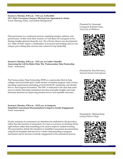**Session 4, Monday, 8:30 a.m. - 9:15 a.m. in Breathitt OU's Data Governance Journey: Moving from Agreement to Action**  Track: Planning, Policy, and System Management

Data governance is a continuous process, requiring stamina, patience, and perseverance. In this work share session, we will share OU's progress so far, sharing insights gleaned along the way. We will also discuss our development of a "State of Data" report, a combination of scorecard and strategic plan we are using to put existing data concerns into context for top leadership.

**Session 5, Monday, 8:30 a.m. - 9:15 a.m. in Combs Chandler Answering the Call for Better Data: The Postsecondary Data Partnership** Track: Assessment

The Postsecondary Data Partnership (PDP) is a nationwide effort to help colleges and universities gain a fuller picture of student progress, meet various reporting requirements (including several SACSCOC standards), and identify how to best support all students. The PDP is dedicated to the idea that easier access to better data helps institutions develop actionable insights and make informed decisions for improving student success and equitable outcomes.

**Session 6, Monday, 9:30 a.m. - 10:15 a.m. in Sampson Simplified Assessment Documentation to Improve Faculty Engagement**  Track: Assessment

Faculty resistance to assessment can oftentimes be attributed to the procedure rather than the function of assessment. It is seen as a process of checking off the right buttons rather than something to be used to improve student learning. This presentation details the transition to simplified assessment documentation using Word templates that has led to a better understanding of program assessment and an increase in faculty engagement in the assessment process.

Presented by: Susannah Livingood, & Jennie Clary, *University of Oklahoma* 



Presented by: Ken McVearry, *National Student Clearinghouse*





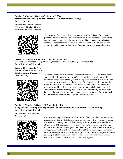#### **Session 7, Monday, 9:30 a.m.—10:15 a.m. in Laffoon Does Domain Ownership Impact Performance on Standardized Testing?** Track: Assessment

Presented by: Jeffrey Johnson, Christopher Hughes, Heather Merrifield, *Sullivan University*



The purpose of this research was to determine if the College of Business performs better in domains directly controlled by the college vs. areas which are not directly controlled. An example would be management. This is in contrast to areas that are not under the direct control of the college such as economics, which is controlled by a different department--general studies.

#### **Session 8, Monday, 9:30 a.m. - 10: 15 a.m. in Carroll Ford Tutoring Effectiveness: Using Matching Methods to Isolate Tutoring Treatment Effects**  Track: Institutional Research

Presented by: Samantha Nix, Lauren Goulet, Andrew Brady, Heather Epstein-Diaz, *Florida* 



*State University* Tutoring services on campus are an essential component for student success and retention. Demonstrating the effectiveness of those services with data can be a more complicated process, as comparing the success of students who selfselect into tutoring services, to the success of the broader student population, typically leads to biased results. We utilize nearest neighbor matching, linear regression, and logistic regression to better understand characteristics of the students who opt into tutoring and their success. This study, conducted at a large, public state institution, uses data from seven semesters for lower level required courses that are gateways into various majors.

#### **Session 9, Monday, 9:30 a.m. - 10:15 a.m. in Breathitt Using Machine-learning as an Exploratory Tool to Support Policy and Inform Decision-Making** Track: Institutional Research

Presented by: Rob Hopkins,



*Virginia Tech* **Machine-learning (ML)** is commonly thought of as a black box mechanism for predictive modeling while limited attention is given to the potential for using ML as an explanatory tool. While some algorithms are less understood than others, many ML packages provide the opportunity to rigorously interrogate models to enable a more complete understanding of how the model is working, what patterns are being discovered, and what the potential applications may be. In this session, we will illustrate the application of Boosted Regression Trees as an explanatory decision-support tool across three distinct areas: human resources, academic affairs, and enrollment management.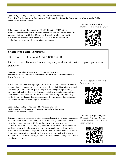**Projecting Enrollment in the Backstretch: Understanding Potential Outcomes by Mourning the Odds**

This session outlines the impacts of COVID-19 on the ASU System's established enrollment and credit hour projections and provides a contextual assessment of how the Office of Strategic Research provided support to institutions and stakeholders through the use of multiple projection methodologies to account for a variety of outcomes.

### **Snack Break with Exhibitors**

Track: Institutional Research

10:15 a.m.—10:45 a.m. in Grand Ballroom B

**Session 10, Monday, 9:30 a.m. - 10:15 a.m. in Combs Chandler**

Join us in Grand Ballroom B for an energizing snack and visit with our great sponsors and exhibitors.

#### **Session 11, Monday, 10:45 a.m. - 11:30 a.m. in Sampson Student Stories of Career Discernment: A Longitudinal Interview Study** Track: Assessment

This session describes an ongoing longitudinal interview project with a cohort of students who entered college in Fall 2020. The goal of this project is to track the development of students' plans and goals for college and post-college career, as well as the effect of starting college in the midst of a pandemic on their personal relationships and sense of belonging. Along with our study methods, we will discuss themes emerging in the first year of data collection that reflect students' deepening self-discovery.

#### **Session 12, Monday, 10:45 a.m. - 11:30 a.m. in Laffoon Exploring Career Choices for Education Bachelor's Graduates** Track: Institutional Research

This paper explores the career choices of students earning bachelor's degrees in education from a public university in Alabama. Using a combined dataset of educational and employment information, the researchers analyze demographic differences, employer type variation, and wages differences for students majoring in education and found in the Alabama workforce after graduation. Additionally, the paper explores the differences between students 1 year and 5 years after graduation. The process for conducting the research and recommendations for changes in institutional and state policy based on the results are provided.

Presented by: Suzanne Klonis, *Furman University*





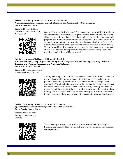#### **Session 13, Monday, 10:45 a.m. - 11:30 a.m. in Carroll Ford Visualizing Academic Program, General Education, and Administrative Unit Outcomes** Track: Assessment Track

Presented by: Molly Hall, Nicole Conners, Cesur Dagli, *Virginia Tech* 



Over the last year, the Institutional Effectiveness unit in the Office of Analytics and Institutional Effectiveness at Virginia Tech has been working on a way to effectively visualize the data collected through its general education, academic program, and administrative unit assessment processes. Given the diversity of academic programs and administrative functions at an institution the size of Virginia Tech, student learning and administrative outcomes can vary greatly. The unit was able to develop coding processes that facilitated the development of data visualizations. Examples of the coding processes developed and the resulting visualizations will be presented.

#### **Session 14, Monday, 10:45 a.m. - 11:30 a.m. in Breathitt University Housing Inequality: A Spatial Regression Analysis of Student Housing, Proximity to Health, Learning and Wellness Resources, and Academic Outcomes**

Track: Institutional Research

Presented by: Michael Tucker, *University of South Carolina* 



Although housing equity studies have been an essential, informative avenue of research in education for many years, little attention has been given to the potential inequalities present within the context of a college campus microcommunity. The aim of this study is to explore the spatial relationship between where students live on-campus, their access to health, learning, and wellness resources, and the effect these have on academic outcomes. The results of these findings will also help to visualize, via spatial mapping in Tableau, where on the college campus there may be inequality in access to resources for students.

**Session 15, Monday, 10:45 a.m. - 11:30 a.m. in Clements Special Interest Group Convening: HLC Accredited Institutions**  Track: Special Interest Group

Presented by: Susannah Livingood, *University of Oklahoma*



The convening is an opportunity for institutions accredited by the Higher Learning Commission (HLC) to network and compare concerns, best practices, and experiences.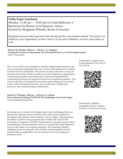### **Table-Topic Luncheon**

Monday, 11:45 am — 12:45 pm in Grand Ballroom A Sponsored by Bronze Level Sponsor, Xitracs Hosted by Meaghann Wheelis, Baylor University

Meaghann has provided questions that should get the conversation started. The lunch is included in your registration, so don't miss it. If you aren't talkative, we have open tables as well.

**Session 16, Monday, 1:00 p.m. - 1:45 p.m. in Sampson Turning the Corner on Assessment: Use of Formal Review as a Tool for Improvement** Track: Assessment

How can you tell if your institution is actually making improvements in the area of assessment reporting? One way to answer this question is to conduct a formal review of assessment. The process can take some time to set up on the front end, but the results are useful across the institution to departments conducting assessment, assessment and/or personnel responsible for overseeing the process and using the reports for accreditation purposes. This session will take you through the assessment report design process, formal review rubric development process, use of multi-rater vs single rater processes, and communicating to stakeholders.

#### **Session 17, Monday, 1:00 p.m. - 1:45 p.m. in Laffoon Survey Research During COVID-19: The Challenges Grew Even Larger** Track: Institutional Research

Executing survey research in the digital age is more challenging than ever. Because the collection process itself has been made easier, students are inundated with requests, often leading to "survey fatigue" that jeopardizes the ability to achieve strong response rates. Further, the cloud of new procedures in response to COVID-19 threatened to exacerbate many of these existing threats. This presentation will cover a spring 2021 multi-institution survey in the midst of an ongoing pandemic. The researchers identify challenges faced over the past year and offer recommendations for best practices that are applicable to survey research in our recovering postpandemic times.

Presented by: Angela Bryan, Carolyn Beamer, *University of West Florida*



Presented by: Matthew Grandstaff, *Institute of Higher Education, University of Georgia* 

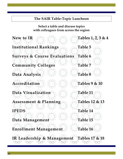## **The SAIR Table-Topic Luncheon**

**Select a table and discuss topics with colleagues from across the region**

**New to IR Institutional Rankings Surveys & Course Evaluations Community Colleges Data Analysis Accreditation Data Visualization Assessment & Planning IPEDS Data Management Enrollment Management IR Leadership & Management Tables 1, 2, 3 & 4 Table 5 Table 6 Table 7 Table 8 Tables 9 & 10 Table 11 Tables 12 & 13 Table 14 Table 15 Table 16 Tables 17 & 18**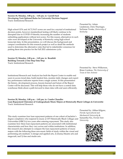#### **Session 18, Monday, 1:00 p.m. - 1:45 pm. in Carroll Ford Developing Test-Optional Rules for University Decision Support** Track: Institutional Research

High school GPA and ACT/SAT scores are used for a myriad of institutional decision points, however standardized testing will likely continue to be disrupted due to COVID-19 thereby increasing the number of students submitting applications without test scores. For this reason, alternatives to such rules were developed at the University of Kentucky using high school transcript data. In this presentation, we will discuss the background and campus coordination for this research project as well as detail the methods used to determine the alternative rules that led to stakeholder consensus for putting them into practice for the Fall 2021 admissions cycle.

**Session 19, Monday, 1:00 p.m. - 1:45 pm. in Breathitt Building Towards a One Stop Data Stop** Track: Institutional Research

Institutional Research and Analysis has built the Report Center to enable end users to access trend data, build student lists, monitor daily changes and export key performance indicator reports from a single system. In this presentation the history, development process, lessons learned and future of the Report Center will be discussed. This will help those who do not have a central data warehouse think about a path forward to share data with end users efficiently.

**Session 20, Monday, 1:00 p.m. - 1:45 pm. in Combs Chandler Loan Repayment Outcomes of Undergraduate Music Majors at Historically Black Colleges & Universitie** Track: Institutional Research

This study examines four loan repayment patterns of one cohort of bachelor's degree completers who majored in music at 107 Historically Black Colleges and Universities (HBCUs) two years after entering repayment. This study also examines how these loan repayment patterns are associated with institutional characteristics and how they vary across and within institutions. In addition, this research also attempts to compare the loan repayment patterns of music majors with the following three non-music fields of study within the visual and performing arts medium: 1) design and applied arts, 2) drama/theatre arts and stagecraft, and 3) fine and studio arts.

Presented by: Adam Lindstrom, Chris Thuringer, SuZanne Troske, *University of Kentucky*



Presented by: Steve Wilkerson, Brian Cordeau, *The University of Texas at San Antonio*





Presented by: Althea Kilgore, *Florida Agricultural and Mechanical University* &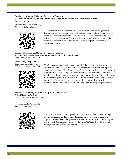### **Session 21, Monday, 2:00 p.m. - 2:45 p.m. in Sampson**

**They are my Monkeys, it is my Circus: Assessing Campus Assessment Readiness/Culture** Track: Assessment

Presented by: Christine Ross, *Hampden-Sydney College*



Assessment of student learning outcomes is critical to improving student learning as well as the regional accreditation process, but how does one move a campus assessment process to a level where it becomes an ingrained part of the culture? Learn how one OIE created a developmental rubric to evaluate the campus assessment culture and how it is used to improve the campus assessment culture.

**Session 22, Monday, 2:00 p.m. - 2:45 p.m. in Laffoon BI + AI: Getting Near-Graduate Stop-Outs back in College with Bots!** Track: Institutional Research

Presented by: Stephanie Perryman, Alisa Zujovic,



*Hillsborough Community College* Think tanks across the nation have identified the need to return working age adults with "some college, no degree" to prepare the labor market for jobs in a changing economy. "Near Grad" is a SAS application designed at Hillsborough Community College (Tampa, FL) that identifies former students (stop-outs) within 15 credit hours or less remaining to degree attainment. Information from SAS is exchanged with an AdmitHub AI-augmented chatbot to actively reach out to Near Grads via text in returning students to complete their degrees. Methods, results, and future direction will be shared during the presentation.

**Session 23, Monday, 2:00 p.m. - 2:45 p.m. in Carroll Ford P.E.A.C.E. from Conflict** Track: Leadership and Management

Presented by: LaVena Wilkin, *Sullivan University*



The P.E.A.C.E. From Conflict presentation will offer a basic understanding of conflict management. The session discusses the costs of unmanaged and unproductive conflict and explains the role communication and conflict styles play in conflict situations. Finally, it offers the P.E.A.C.E.© Model of Conflict Management as a guide to addressing conflicts.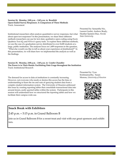#### **Session 24, Monday, 2:00 p.m. - 2:45 p.m. in Breathitt Open-Ended Survey Responses: A Comparison of Three Methods** Track: Assessment

Institutional researchers often analyze quantitative survey responses, but what about open text responses? In this presentation, we share three different methods researchers can use for text data: qualitative open-coding using Excel, Qualtrics Text iQ, and NVivo's query tools. To explore these different methods, we use the case of a graduation survey distributed to over 8,600 students at a large, public institution. The analyses focus on 1,489 responses to the question, "What else would you like to tell us about your experience at [institution]?" In this presentation, we will share how we implemented the analysis as well as the findings.

**Session 25, Monday, 2:00 p.m. - 2:45 p.m. in Combs Chandler The Power is in Their Hands: Facilitating Data Usage throughout the Institution** Track: Institutional Research

The demand for access to data at institutions is constantly increasing. However, not everyone who needs or desires this access has the time or understanding to learn the ins and outs of querying student data from a complex student information system. The University of Houston addressed this issue by creating reporting tables that consolidate transactional data into around dozen, easily queried tables within the system. Participants in this session will understand how we structured the reporting tables and how we facilitate their campus-wide use.

### **Snack Break with Exhibitors**

2:45 p.m.—3:15 p.m. in Grand Ballroom B

Join us in Grand Ballroom B for a sweet treat and visit with our great sponsors and exhibitors.

Presented by: Samantha Nix, Lauren Goulet, Andrew Brady, Heather Epstein-Diaz*, Florida State University*



Presented by: Vyas Krishnamurthy, Susan Moreno, *University of Houston*

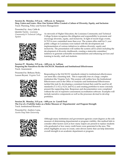#### **Session 26, Monday, 3:15 p.m. - 4:00 p.m. in Sampson**

**Stop, Listen and Learn– How One System Office Created a Culture of Diversity, Equity, and Inclusion** Track: Planning, Policy and System Management

Presented by: Amy Cable & Quintin Taylor, *Louisiana Community & Technical College System*



As stewards of Higher Education, the Louisiana Community and Technical College System recognizes the obligation and responsibility to promote and encourage diversity, equity, and inclusivity. In light of recent tragic events, LCTCS is now committed more than ever. The system office staff for 2- year public colleges in Louisiana were tasked with the development and implementation of various initiatives to address diversity, equity and inclusivity. The presentation will outline the system call to action including the development of diversity dashboards, creating a statewide committee/ taskforce to generate actionable recommendations and enhancing services and training to faculty, staff and students.

**Session 27, Monday, 3:15 p.m. - 4:00 p.m. in Laffoon Preparing the Narratives for the SACSCOC Standards and Institutional Effectiveness** Track: Assessment

Presented by: Bethany Bodo,



Lauren Bryant*, Virginia Tech* Responding to the SACSCOC standards related to institutional effectiveness can seem like a daunting task. This is especially true at a large, complex institution like Virginia Tech. This session will outline how the Institutional Effectiveness unit in the Office of Analytics and Institutional Effectiveness tackled this task by developing a consistent format that could be used for all standards (7.3, 8.2.a, 8.2.b, and 8.2.c) and creating portfolios to more concisely present the supporting data. Responses and documentation were completed without the use of expensive assessment/accreditation software. Examples will include narrative components as well as the processes devised to develop portfolios.

#### **Session 28, Monday, 3:15 p.m. - 4:00 p.m. in Carroll Ford The Use of a Viability Index as a Better Measure of Departmental and Program Strength** Track: Institutional Research

Presented by: Andrew Luna, *Austin Peay State University* 



Although many institutions and government agencies count degrees as the sole measure of determining departmental or program viability, this method fails to consider other factors such as how many majors are present to replace students who graduated or how many credit hours were generated in the area. This article highlights an easy-to-create, ratio-driven metric that can help determine overall strength in an academic department or program.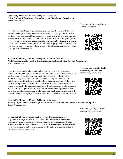### **Session 29, Monday, 3:15 p.m. - 4:00 p.m. in Breathitt**

**Using Student Reflections to Assess Impact of High-Impact Experiences**  Track: Assessment

How do we know that a high-impact experience has the intended effect on student development? We have been systematically coding reflections that students write as a part of their summer research and internship experiences. We are particularly focused on coding for themes of Sense of Purpose (with respect to career plans and personal goals) and Integrative Learning (making connections between their experience and knowledge gained in courses). We will present our process for collecting and coding these reflections, as well as findings from this research.

#### **Session 30, Monday, 3:15 p.m. - 4:00 p.m. in Combs Chandler Add Benchmarking to your Student Services and Administrative Services Assessment**  Track: Assessment

Program assessment and evaluation has moved beyond the academic classroom, compelling institutions to also demonstrate the effectiveness of their student support services and administrative divisions. Additionally, accreditors require evidence of effectiveness in program reviews and stakeholders need this type of data to inform decision-making. By knowing costs, staffing and workload with comparisons to others, institutions can improve productivity, decrease spending without impacting student success, and reallocate budget based on priorities. This session will preview a new benchmarking tool focusing on student and administrative services and will present data from the projects to illustrate how it can assist in decision-making.

#### **Session 31, Monday, 4:15 p.m. - 5:00 p.m. in Sampson Seeking Improvement? Preparing for Standard 8.2.a.– Student Outcomes: Educational Programs**  Track: Accreditation

Is your institution's assessment culture focused on compliance or improvement? Is your institution ready to demonstrate that assessment findings are used to seek improvement in educational programs? If your answer to either of these questions is no, then this session will share several tools you can use to put your institution on the path to improvement and compliance with standard 8.2.a.

Presented by: Suzanne Klonis, *Furman University* 



Presented by: Michelle Taylor, *National Higher Education Benchmarking Institution* 





Presented by: Angela Bryan, *University of West Florida*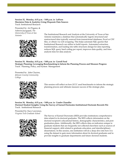#### **Session 32, Monday, 4:15 p.m. - 5:00 p.m. in Laffoon Maximize Data & Analytics Using Disparate Data Sources**  Track: Institutional Research

Presented by: Art Pagano, & Ashwin Jayagopal, *The University of Texas at San* 



*Antonio* The Institutional Research and Analysis at the University of Texas at San Antonio maintains a database that automatically ingests structured and unstructured data typically sourced from transactional databases, Excel or CSV files, or obtain via web scrapping. This helps automate SQL queries that Institutional Research can utilize to build reports. Automated extraction, transformation, and loading into table structures design for data reporting reduces SQL query hard coding per report, improves data quality, and frees analysts time for data analysis.

**Session 33, Monday, 4:15 p.m. - 5:00 p.m. in Carroll Ford Strategic Planning: Leveraging Benchmarking to Inform the Planning Process and Measure Progress** Track: Planning, Policy, and System Management

Presented by: John Clayton, *Johnson County Community College* 



This session will reflect on how JCCC used benchmarks to inform the strategic planning process and ultimate measure success of the strategic plan.

**Session 34, Monday, 4:15 p.m. - 5:00 p.m. in Combs Chandler Doctoral Student Insights: Using the Survey of Earned Doctorates Institutional Doctorate Records File** Track: Institutional Research

Presented by: Kacy Lawrence, *Virginia Tech Graduate School* 



The Survey of Earned Doctorates (SED) provides institutions comprehensive data related to its doctoral graduates. The SED collects information on the doctoral recipient's educational history, demographic characteristics, and postgraduation plans. Additionally, the SED collects data on indicators unique to graduate students that are frequently not collected elsewhere such as sources of financial support, debt related to graduate education, and interdisciplinary dissertations. In this session, one institution will do a deep-dive into how it is using the dataset to gain more information about its doctoral graduates and to provide insights to graduate departments and future doctoral students.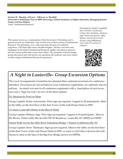**Session 35, Monday, 4:15 p.m. - 5:00 p.m. in Breathitt Newcomer's Workshop Class of 2009: Surviving a Global Pandemic in Higher Education, Managing Remote Teams, and Free Britney** Track: Institutional Research

This session serves as a continuation of the Newcomer's Workshop and is geared toward any individual who is fairly new in their careers in Institutional Research. The presenters, now with more than 40 years of combined experience, will share their most valuable insights , advices, successes and challenges in the field of Institutional Research, higher education in general, and the various paths their careers have taken. The presenters will encourage group discussion and will answer any questions the audience may have based on their unique Institutional Research experiences

Presented by: Emily Campbell, *River Parishes Community College,* Eric Atchison, *Arkansas State University System,* Abby Wilcox, *University of North Florida,* Greg Ohlenforst, *University of Louisiana at Lafayette*



# *A Night in Louisville- Group Excursion Options*

The Local Arrangements Committee has planned three optional excursions for conference attendees. Excursions are not included in your conference registration, are optional, and are self-pay. An email was sent to all conference registrants with a description of each excursion and a "Sign Up Link" for two of the three options.

21c Museum & Proof on Main

.

Group Captain: Krista Ackermann. Prior sign-up required. Capped at 20 participants. Meet in the lobby on the first floor of the East Tower of the Galt House Hotel at 6PM.

A Classic Louisville Dinner at the Brown Hotel

Group Captain: Brittany Inge. Prior sign-up required. Capped at 10 participants. Meet in the Brown Hotel Lobby Bar & Grill (335 W Broadway, Louisville, KY 40202) at 6:30PM

Sunset Walk Across the Ohio River Pedestrian Bridge + Dinner in Jeffersonville, IN

Group Captain: Drew Thiemann. Sign-up not required. Meet in the lobby on the first floor of the East Tower of the Galt House Hotel at 6PM or catch a Lyft/Uber/cab from the Galt House to meet at the base of the Big Four Bridge (arrive at 6:50PM).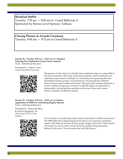### **Breakfast Buffet** Tuesday, 7:30 am — 8:00 am in Grand Ballroom A Sponsored by Bronze Level Sponsor, Tableau

# **Closing Plenary & Awards Ceremony**

Tuesday, 8:00 am — 9:15 am in Grand Ballroom A

**Session 36, Tuesday, 9:30 a.m. - 10:15 a.m. in Sampson Selecting Peer Institutions Using Cluster Analysis** Track: Institutional Research

Presented by: Andrew Luna, *Austin Peay State University*



The purpose of this study is to identify those institutions that are comparable to the home institution. This study used cluster analysis, which is defined as an exploratory data analysis technique for classifying and organizing data into meaningful clusters, groups, or taxonomies by maximizing the similarity between observations within each cluster. The goal of this analysis, therefore, is to sort variables into groups or clusters so that the degree of association or relationship is strong between members of the same cluster and weaker between members of different clusters.

**Session 37, Tuesday, 9:30 a.m. - 10:15 a.m. in Laffoon Application of SSRS for Automating Regular Reports** Track: Institutional Research

Presented by: Fikrewold Bitew & Ashwin Jayagopal, *The University of Texas at San Antonio*



Are you tired of re-producing similar reports repeatedly for different purposes? The SSRS (SQL Server Reporting Services) allows you to produce formatted reports with tables in the form of data, graph, images, and charts. These reports are hosted on a server which can be executed anytime using parameters defined by the users. The tool comes free with SQL Server.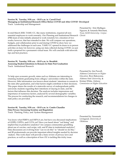#### **Session 38, Tuesday, 9:30 a.m. - 10:15 a.m. in Carroll Ford Managing an Institutional Research Office Before COVID and After COVID Developed** Track: Leadership and Management

In mid-March 2020, TAMU-CC, like many institutions, required all nonessential employees to work remotely. Our Planning and Institutional Research *Christi*  (PIR) team of nine initially planned to work remotely for a duration of two weeks; however, that has extended to date. We will compare our operations, budgets, and collaboration prior to and during COVID to show how we addressed the challenges in each area. TAMU-CC opened its doors to in person activities on June 1st; however, using our data collected during COVID, we put forth a proposal for a permanent virtual team. We will conclude with telework tips and best practices.

**Session 39, Tuesday, 9:30 a.m. - 10:15 a.m. in Breathitt Assessing Student Intentions to Remain In-State Post Graduation** Track: Institutional Research

To help spur economic growth, states such as Alabama are interesting in retaining students graduating from colleges/ universities within the state. However, little information was known about students' intentions to remain in the state after graduation, and what factors might contribute to their decisions. This paper shares the results of a statewide survey of undergraduate public university students regarding their intentions of staying in-state, and the factors that influence this decision. The analysis includes impressions and importance of numerous factors, analyzed by several demographic variables. The process for conducting the research, and recommendations for changes in state policy are provided.

**Session 40, Tuesday, 9:30 a.m. - 10:15 a.m. in Combs Chandler Data Privacy: Increasing Scrutiny and Regulation** Track: Planning, Policy, and System Management

You know what FERPA and HIPAA are, but have you discussed implications of GDPR, COPPA, and CCPA yet? Have you heard about "red lining" and implicit bias in predictive analytics? Are campus communities grumbling about use of vaccine, card swipe, wifi, and IP data in institutional analytics? Data discussions are evolving from "can we do this" to "should we do this," and IR professionals can provide important ethical insights needed by decision -makers. This work share will provide a basic review of privacy laws and practices, as well as a description of how OU is tackling this tricky issue.

Presented by: Erin Mulligan-Nguyen, & Amanda Merchant, *Texas A&M University– Corpus* 



Presented by: Jim Purcell, *Alabama Commission on Higher Education,* Bryn Bakoyema, *Alabama State University,* & Kristan White, *Alabama Commission on Higher Education*



Presented by: Susannah Livingood, *University of Oklahoma*

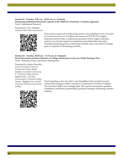#### **Session 41, Tuesday, 9:30 a.m. - 10:15 a.m. in Clements Enhancing Institutional Research Capacity in the Midst of a Pandemic: A System Approach** Track: Institutional Research

Presented by: Eric Atchison, *Arkansas State University System*



This session is based on a forthcoming article to be published in *New Directions for Institutional Research.* It outlines the impacts of COVID-19 on higher education and provides a contextual assessment of how higher education systems can provide support to institutions and stakeholders through a formulated planning process which helps identify, plan, and achieve strategic goals in response to fluctuating priorities.

#### **Session 42, Tuesday, 10:30 a.m. - 11:15 a.m. in Sampson Panel Discussion on Data Collection at College and System Levels on a Public Strategic Plan** Track: Planning, Policy, and System Management

Presented by: Jimmy Sawtelle, *Central Louisiana Technical Community College,* René Cintrón, *Louisiana Community & Technical College System,*  Ingrid Cook, *Louisiana Community & Technical College System,* Stephen Cox, *Central Louisiana Technical Community College*



Panel regarding a dive into data's user-friendliness that revealed new(er) cultures that emerged within Louisiana's Community & Technical Colleges' Our Louisiana 2020 6-year strategic plan. The 6 goals encompasses graduate completion, enrollment, partnerships, graduate earnings, fundraising, transfer students.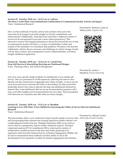#### **Session 43, Tuesday, 10:30 a.m. - 11:15 a.m. in Laffoon The Story's in the Data: Cross-Institutional Collaboration to Communicate Faculty Activity and Impact** Track: Institutional Research

How can the multitude of faculty activity data systems from across the university be leveraged to provide insights on faculty contributions and achievements? Additionally, what data from university's different systems of record can be incorporated to provide a more robust perspective? This interactive session will engage participants in discussion around the use of data to communicate faculty activities to a variety of stakeholders within and outside of the institution via centralized data platform. Presenters will describe collaborative efforts, discuss successes and challenges in culture change, faculty activity data curation, data management, process implementation, and demo insights dashboard application.

**Session 44, Tuesday, 10:30 a.m. - 11:15 a.m. in Carroll Ford From Self-Service to Storytelling: Revising our Dashboard Designs** Track: Planning, Policy, and System Management

Just a few years ago the design aesthetic for dashboards was to enable selfservice. This was promised to cut IR requests by allowing end users to dive directly into the construction of aggregate data. More recently, we have moved away from self-service and into the realm of storytelling. We discovered that leadership doesn't have time to dig into the data and dashboards themselves. Instead, they want dashboards that are set up for presentation purposes, tell a story, and offer insights and recommendations for next steps. This presentation will showcase our transition and offer ideas for future designs.

#### **Session 45, Tuesday, 10:30 a.m. - 11:15 a.m. in Breathitt Learning to Love Soft Data: A New Method for Increasing the Utility of Survey Data for Institutional Research**

Track: Institutional Research

This presentation offers a new method for improving the quality of survey data *University of South Carolina* and incorporating these datasets into existing regression models without overcomplicating the model structure. Multiple imputation (MI) can be used on survey data as a preparatory step for further statistical analyses. Principal component analysis (PCA) compliments MI by reducing the number of independent variables present in the data, thus better preparing it for regression. Data from the National Survey of Student Engagement (NSSE) will be used to demonstrate these methods and their ability to aid in the development of two predictive models for student engagement and retention.

Presented by: Barbara Lockee & Abhay Joshi, *Virginia Tech* 



Presented by: Justin C. Shepherd, *Emory University*



Presented by: Michael Tucker,

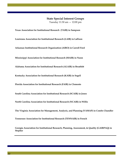#### **State Special Interest Groups**

Tuesday 11:30 am — 12:00 pm

**Texas Association for Institutional Research (TAIR) in Sampson** 

**Louisiana Association for Institutional Research (LAIR) in Laffoon**

**Arkansas Institutional Research Organization (AIRO) in Carroll Ford**

**Mississippi Association for Institutional Research (MAIR) in Nunn**

**Alabama Association for Institutional Research (ALAIR) in Breathitt** 

**Kentucky Association for Institutional Research (KAIR) in Segell** 

**Florida Association for Institutional Research (FAIR) in Clements** 

**South Carolina Association for Institutional Research (SCAIR) in Jones** 

**North Carolina Association for Institutional Research (NCAIR) in Willis**

**The Virginia Association for Management, Analysis, and Planning (VAMAP) in Combs Chandler**

**Tennessee Association for Institutional Research (TENNAIR) in French** 

**Georgia Association for Institutional Research, Planning, Assessment, & Quality (GAIRPAQ) in Stopher**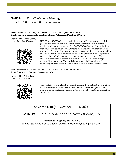### **SAIR Board Post-Conference Meeting**

Tuesday,  $1:00 \text{ pm} - 3:00 \text{ pm}$ , in Brown

#### **Post-Conference Workshop, E.1., Tuesday, 1:00 p.m. - 4:00 p.m. in Clements Identifying, Evaluating, and Publishing Student Achievement Goals and Outcomes**

Presented by: Lynne Crosby,



*Austin Peay State University* USDOE and SACSCOC expect institutions to identify, evaluate and publish goals and outcomes for student achievement appropriate to institution's mission, students, and programs. In a SACSCOC analysis, 45% of institutions were found non-compliant with Standard 8.1 in preliminary report of off-site committee. This workshop provides an overview of 8.1, incorporating activities to assist in identifying appropriate criteria, setting thresholds of acceptability, and selecting multiple measures to evaluate student achievement. This interactive workshop offers ways to publish the data and effectively approach the compliance narrative. This workshop can assist in identifying and monitoring student success-related metrics in an institution's strategic plan.

#### **Post-Conference Workshop, E.2., Tuesday, 1:00 p.m. - 4:00 p.m. in Carroll Ford Using Qualtrics on Campus– Surveys and More!**

Presented by: Will Miller, *Jacksonville University* 



This workshop will explore the basics of utilizing the Qualtrics Survey platform to create surveys for use in Institutional Research offices along with other innovative uses--including assessment, transfer credit evaluations, applications, and forms!

## Save the Date(s) - October  $1 - 4$ , 2022

## SAIR 49—Hotel Monteleone in New Orleans, LA

Join us in the Big Easy for SAIR 49. Plan to attend and maybe extend your trip a couple days to enjoy the city.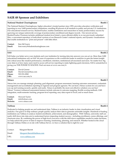### **SAIR 48 Sponsor and Exhibitors**

#### **National Student Clearinghouse Booth 1 Booth 1**

The National Student Clearinghouse, higher education's trusted partner since 1993, provides education verification and reporting to over 3,600 postsecondary institutions, enrolling 98 percent of all students in public and private U.S. institutions. Our educational research service, StudentTracker, enables institutions and researchers to study postsecondary success by querying our unique nationwide coverage of postsecondary enrollment and degree records. Our newest service, StudentTracker Premium includes additional student-level detail, a more efficient ability to re-run previously submitted files, a convenient repository of individual versions of our Research Center's national reports, and dynamic visualizations that enable institutions to "print and present" with little effort.

**Contact:** Ken McVearry **Email:** kmcvearry@studentclearinghouse.com

#### **SAS** Booth 2

SAS helps you better serve your students and your institution by turning data into answers you can act on. More than 3,000 educational institutions rely on SAS' 44 years of experience as the worldwide leader in analytics to gain the fastest insight into critical areas like student performance, enrollment, retention, institutional advancement and more. No matter how big your data is or how many users need to access self-service reporting to make lightning-quick decisions, SAS is unmatched in giving you THE POWER TO KNOW®. Find out more at www.sas.com/ir

| Contact:      | David Greene         |
|---------------|----------------------|
| Email:        | David.Greene@sas.com |
| <b>Phone:</b> | 919-531-0582         |
| URL:          | www.sas.com/ir       |

#### **Xitracs Booth 3**

Xitracs lets you manage strategic planning, goal alignment, program assessment, learning outcomes assessment, credentials management and accreditation reporting to regional and program agencies. We can host a Xitracs system for you and have you up and running securely, quickly and easily. Xitracs is probably the most cost-effective solution you can buy! Xitracs' Version 6 enhanced assessment features include outcome to outcome mapping, flexible scoring methods, LMS integration, multi-semester tracking, program-level reporting, easy data export to Excel, and so much more.

**Contact:** Howard Taylor **Email:** info@xitracs.com **Website:** www.xitracs.com

#### **Tableau Booth 4**

Dedicated to helping people see and understand data, Tableau is an industry leader in data visualization and visual analytics. Our goal is to help ordinary people quickly analyze their data to generate actionable insights. Hundreds of leading institutions use Tableau to analyze student enrollment, achievement, and demographics. With Tableau, university staff can easily drill down into data sets to understand factors impacting student success—including enrollment, course offerings, and classroom sizes. By combining the power of high-level overviews with the drill-down capabilities needed to make decisions, we help unlock the power of data to improve learning, fundraising, planning, and research. Whether hosted in the cloud through Tableau Online or on site with Tableau Server, we have a solution that is right for you!

Contact: Margaret Barrett Email: Margaret.Barrett@tableau.com URL: www.tableau.com